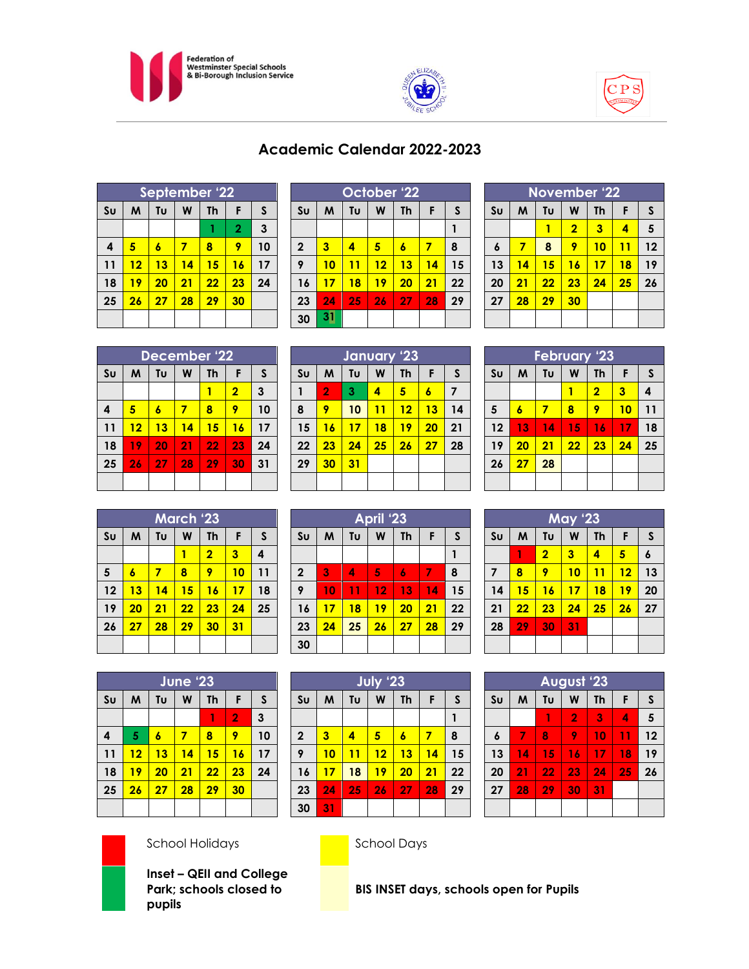





| Academic Calendar 2022-2023 |
|-----------------------------|
|                             |

| September '22                                    |    |    |    |    |                |    |  |
|--------------------------------------------------|----|----|----|----|----------------|----|--|
| W<br>Tυ<br>M<br>S <sub>U</sub><br><b>Th</b><br>F |    |    |    |    |                |    |  |
|                                                  |    |    |    |    | $\overline{2}$ | 3  |  |
| 4                                                | 5  | 6  | 7  | 8  | 9              | 10 |  |
| 11                                               | 12 | 13 | 14 | 15 | 16             | 17 |  |
| 18                                               | 19 | 20 | 21 | 22 | 23             | 24 |  |
| 25                                               | 26 | 27 | 28 | 29 | 30             |    |  |
|                                                  |    |    |    |    |                |    |  |

| October '22      |    |    |    |                  |    |    |  |
|------------------|----|----|----|------------------|----|----|--|
| S <sub>U</sub>   | M  | Tυ | W  | Th               | F  | S  |  |
|                  |    |    |    |                  |    |    |  |
| $\boldsymbol{2}$ | 3  | 4  | 5  | $\boldsymbol{6}$ | 7  | 8  |  |
| 9                | 10 | 11 | 12 | 13               | 14 | 15 |  |
| 16               | 17 | 18 | 19 | 20               | 21 | 22 |  |
| 23               | 24 | 25 | 26 | 27               | 28 | 29 |  |
| 30               | 31 |    |    |                  |    |    |  |

| <b>November '22</b>  |                                     |    |                |                         |    |    |  |  |
|----------------------|-------------------------------------|----|----------------|-------------------------|----|----|--|--|
| S <sub>U</sub>       | Tυ<br><b>Th</b><br>W<br>M<br>S<br>F |    |                |                         |    |    |  |  |
|                      |                                     |    | $\overline{2}$ | $\overline{\mathbf{3}}$ | 4  | 5  |  |  |
| 6                    | 7                                   | 8  | 9              | 10                      | 11 | 12 |  |  |
| 13                   | 14                                  | 15 | 16             | 17                      | 18 | 19 |  |  |
| 20                   | 21                                  | 22 | 23             | 24                      | 25 | 26 |  |  |
| 27<br>28<br>29<br>30 |                                     |    |                |                         |    |    |  |  |
|                      |                                     |    |                |                         |    |    |  |  |

| December '22   |                                     |    |    |    |                |    |  |
|----------------|-------------------------------------|----|----|----|----------------|----|--|
| S <sub>U</sub> | Tυ<br>F<br>W<br><b>Th</b><br>S<br>M |    |    |    |                |    |  |
|                |                                     |    |    | 1  | $\overline{2}$ | 3  |  |
| 4              | 5                                   | 6  | 7  | 8  | 9              | 10 |  |
| 11             | 12                                  | 13 | 14 | 15 | 16             | 17 |  |
| 18             | 19                                  | 20 | 21 | 22 | 23             | 24 |  |
| 25             | 26                                  | 27 | 28 | 29 | 30             | 31 |  |
|                |                                     |    |    |    |                |    |  |

| January '23    |    |    |    |           |    |              |  |  |
|----------------|----|----|----|-----------|----|--------------|--|--|
| S <sub>U</sub> | M  | Tu | W  | <b>Th</b> | F  | $\mathsf{s}$ |  |  |
| 1              | 2  | 3  | 4  | 5         | 6  | 7            |  |  |
| 8              | 9  | 10 | 11 | 12        | 13 | 14           |  |  |
| 15             | 16 | 17 | 18 | 19        | 20 | 21           |  |  |
| 22             | 23 | 24 | 25 | 26        | 27 | 28           |  |  |
| 29             | 30 | 31 |    |           |    |              |  |  |
|                |    |    |    |           |    |              |  |  |

|                | <b>February '23</b>                 |    |    |                |    |    |  |  |
|----------------|-------------------------------------|----|----|----------------|----|----|--|--|
| S <sub>U</sub> | F<br>M<br>Tυ<br>W<br><b>Th</b><br>S |    |    |                |    |    |  |  |
|                |                                     |    | 1  | $\overline{2}$ | 3  | 4  |  |  |
| 5              | 6                                   | 7  | 8  | 9              | 10 | 11 |  |  |
| 12             | 13                                  | 14 | 15 | 16             | 17 | 18 |  |  |
| 19             | 20                                  | 21 | 22 | 23             | 24 | 25 |  |  |
| 26<br>28<br>27 |                                     |    |    |                |    |    |  |  |
|                |                                     |    |    |                |    |    |  |  |

| March 23       |    |    |    |                         |    |    |  |
|----------------|----|----|----|-------------------------|----|----|--|
| S <sub>U</sub> | M  | Tυ | W  | <b>Th</b>               | F  | S  |  |
|                |    |    |    | $\overline{\mathbf{2}}$ | 3  | 4  |  |
| 5              | 6  | 7  | 8  | 9                       | 10 | 11 |  |
| 12             | 13 | 14 | 15 | 16                      | 17 | 18 |  |
| 19             | 20 | 21 | 22 | 23                      | 24 | 25 |  |
| 26             | 27 | 28 | 29 | 30                      | 31 |    |  |
|                |    |    |    |                         |    |    |  |

| April '23               |    |    |    |           |    |    |  |  |
|-------------------------|----|----|----|-----------|----|----|--|--|
| S <sub>U</sub>          | M  | Tυ | W  | <b>Th</b> | F  | S  |  |  |
|                         |    |    |    |           |    |    |  |  |
| $\overline{\mathbf{2}}$ | 3  | 4  | 5  | 6         | 7  | 8  |  |  |
| 9                       | 10 | 11 | 12 | 13        | 14 | 15 |  |  |
| 16                      | 17 | 18 | 19 | 20        | 21 | 22 |  |  |
| 23                      | 24 | 25 | 26 | 27        | 28 | 29 |  |  |
| 30                      |    |    |    |           |    |    |  |  |

|                | <b>May '23</b> |                |    |           |    |    |  |  |
|----------------|----------------|----------------|----|-----------|----|----|--|--|
| S <sub>U</sub> | M              | Tυ             | W  | <b>Th</b> | F  | S  |  |  |
|                |                | $\overline{2}$ | 3  | 4         | 5  | 6  |  |  |
| $\overline{7}$ | 8              | 9              | 10 | 11        | 12 | 13 |  |  |
| 14             | 15             | 16             | 17 | 18        | 19 | 20 |  |  |
| 21             | 22             | 23             | 24 | 25        | 26 | 27 |  |  |
| 28             | 29             | 30             | 31 |           |    |    |  |  |
|                |                |                |    |           |    |    |  |  |

|                | June '23                       |    |    |    |    |    |  |  |  |
|----------------|--------------------------------|----|----|----|----|----|--|--|--|
| S <sub>U</sub> | W<br>M<br>Tυ<br>F<br><b>Th</b> |    |    |    |    |    |  |  |  |
|                |                                |    |    | 1  | 2  | 3  |  |  |  |
| 4              | 5                              | 6  | 7  | 8  | 9  | 10 |  |  |  |
| 11             | 12                             | 13 | 14 | 15 | 16 | 17 |  |  |  |
| 18             | 19                             | 20 | 21 | 22 | 23 | 24 |  |  |  |
| 25             | 26                             | 27 | 28 | 29 | 30 |    |  |  |  |
|                |                                |    |    |    |    |    |  |  |  |

| July '23         |    |    |    |           |    |    |  |  |
|------------------|----|----|----|-----------|----|----|--|--|
| S <sub>U</sub>   | M  | Tu | W  | <b>Th</b> | F  | S  |  |  |
|                  |    |    |    |           |    |    |  |  |
| $\boldsymbol{2}$ | 3  | 4  | 5  | 6         | 7  | 8  |  |  |
| 9                | 10 | 11 | 12 | 13        | 14 | 15 |  |  |
| 16               | 17 | 18 | 19 | 20        | 21 | 22 |  |  |
| 23               | 24 | 25 | 26 | 27        | 28 | 29 |  |  |
| 30               | 31 |    |    |           |    |    |  |  |

| <b>August '23</b> |    |                 |                |           |    |    |
|-------------------|----|-----------------|----------------|-----------|----|----|
| S <sub>U</sub>    | M  | Tυ              | W              | <b>Th</b> | F  | S  |
|                   |    | 1               | $\overline{2}$ | 3         | 4  | 5  |
| 6                 | 7  | 8               | 9              | 10        | 11 | 12 |
| 13                | 14 | 15              | 16             | 17        | 18 | 19 |
| 20                | 21 | $\overline{22}$ | 23             | 24        | 25 | 26 |
| 27                | 28 | 29              | 30             | 31        |    |    |
|                   |    |                 |                |           |    |    |



## School Holidays **School Days**

**Inset – QEII and College Park; schools closed to pupils**

**BIS INSET days, schools open for Pupils**